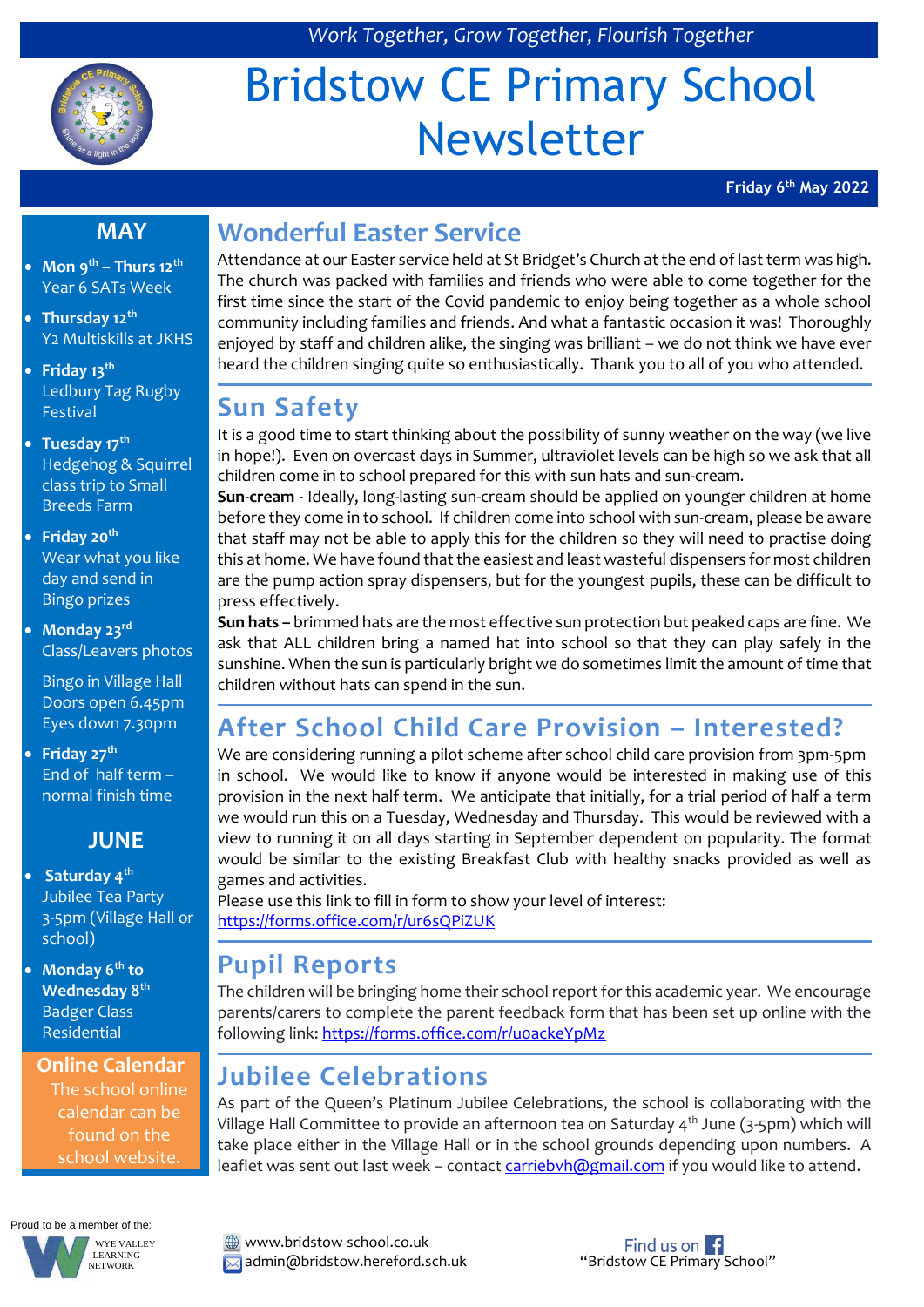

# Bridstow CE Primary School Newsletter

**Friday 6th May 2022**

#### **MAY**

- **Mon 9th – Thurs 12th** Year 6 SATs Week
- **Thursday 12th** Y2 Multiskills at JKHS
- **Friday 13th** Ledbury Tag Rugby Festival
- **Tuesday 17th** Hedgehog & Squirrel class trip to Small Breeds Farm
- **Friday 20th** Wear what you like day and send in Bingo prizes
- **Monday 23rd** Class/Leavers photos

Bingo in Village Hall Doors open 6.45pm Eyes down 7.30pm

 **Friday 27th** End of half term – normal finish time

#### **JUNE**

- **Saturday 4th** Jubilee Tea Party 3-5pm (Village Hall or school)
- **Monday 6th to Wednesday 8th** Badger Class Residential

**Online Calendar** The school online calendar can be found on the school website.

Proud to be a member of the: WYE VALLEY



## **Wonderful Easter Service**

Attendance at our Easter service held at St Bridget's Church at the end of last term was high. The church was packed with families and friends who were able to come together for the first time since the start of the Covid pandemic to enjoy being together as a whole school community including families and friends. And what a fantastic occasion it was! Thoroughly enjoyed by staff and children alike, the singing was brilliant – we do not think we have ever heard the children singing quite so enthusiastically. Thank you to all of you who attended.

### **Sun Safety**

It is a good time to start thinking about the possibility of sunny weather on the way (we live in hope!). Even on overcast days in Summer, ultraviolet levels can be high so we ask that all children come in to school prepared for this with sun hats and sun-cream.

**Sun-cream -** Ideally, long-lasting sun-cream should be applied on younger children at home before they come in to school. If children come into school with sun-cream, please be aware that staff may not be able to apply this for the children so they will need to practise doing this at home. We have found that the easiest and least wasteful dispensers for most children are the pump action spray dispensers, but for the youngest pupils, these can be difficult to press effectively.

**Sun hats –** brimmed hats are the most effective sun protection but peaked caps are fine. We ask that ALL children bring a named hat into school so that they can play safely in the sunshine. When the sun is particularly bright we do sometimes limit the amount of time that children without hats can spend in the sun.

# **After School Child Care Provision – Interested?**

We are considering running a pilot scheme after school child care provision from 3pm-5pm in school. We would like to know if anyone would be interested in making use of this provision in the next half term. We anticipate that initially, for a trial period of half a term we would run this on a Tuesday, Wednesday and Thursday. This would be reviewed with a view to running it on all days starting in September dependent on popularity. The format would be similar to the existing Breakfast Club with healthy snacks provided as well as games and activities.

Please use this link to fill in form to show your level of interest: <https://forms.office.com/r/ur6sQPiZUK>

## **Pupil Reports**

The children will be bringing home their school report for this academic year. We encourage parents/carers to complete the parent feedback form that has been set up online with the following link[: https://forms.office.com/r/u0ackeYpMz](https://forms.office.com/r/u0ackeYpMz)

# **Jubilee Celebrations**

As part of the Queen's Platinum Jubilee Celebrations, the school is collaborating with the Village Hall Committee to provide an afternoon tea on Saturday  $4<sup>th</sup>$  June (3-5pm) which will take place either in the Village Hall or in the school grounds depending upon numbers. A leaflet was sent out last week - contac[t carriebvh@gmail.com](mailto:carriebvh@gmail.com) if you would like to attend.